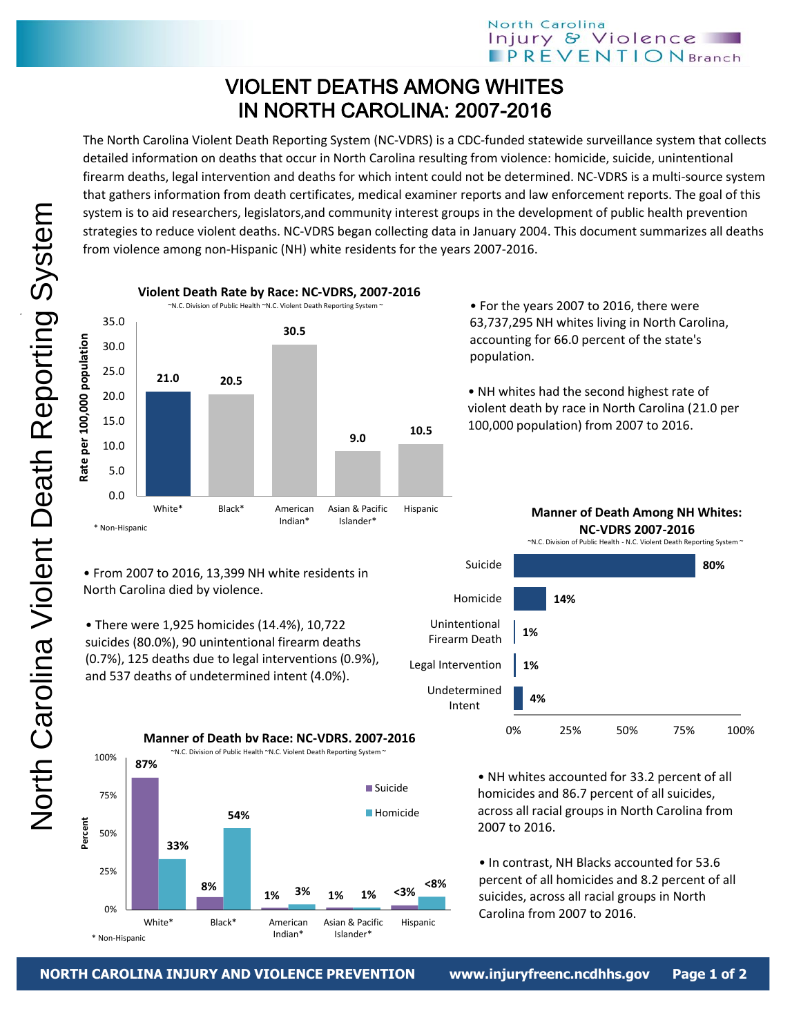## North Carolina Injury & Violence **PREVENTION** Branch

## VIOLENT DEATHS AMONG WHITES IN NORTH CAROLINA: 2007-2016

The North Carolina Violent Death Reporting System (NC-VDRS) is a CDC-funded statewide surveillance system that collects detailed information on deaths that occur in North Carolina resulting from violence: homicide, suicide, unintentional firearm deaths, legal intervention and deaths for which intent could not be determined. NC-VDRS is a multi-source system that gathers information from death certificates, medical examiner reports and law enforcement reports. The goal of this system is to aid researchers, legislators,and community interest groups in the development of public health prevention strategies to reduce violent deaths. NC-VDRS began collecting data in January 2004. This document summarizes all deaths from violence among non-Hispanic (NH) white residents for the years 2007-2016.



• For the years 2007 to 2016, there were 63,737,295 NH whites living in North Carolina, accounting for 66.0 percent of the state's population.

• NH whites had the second highest rate of violent death by race in North Carolina (21.0 per 100,000 population) from 2007 to 2016.

> **Manner of Death Among NH Whites: NC-VDRS 2007-2016**

> ~N.C. Division of Public Health - N.C. Violent Death Reporting System ~





• NH whites accounted for 33.2 percent of all homicides and 86.7 percent of all suicides, across all racial groups in North Carolina from 2007 to 2016.

• In contrast, NH Blacks accounted for 53.6 percent of all homicides and 8.2 percent of all suicides, across all racial groups in North Carolina from 2007 to 2016.